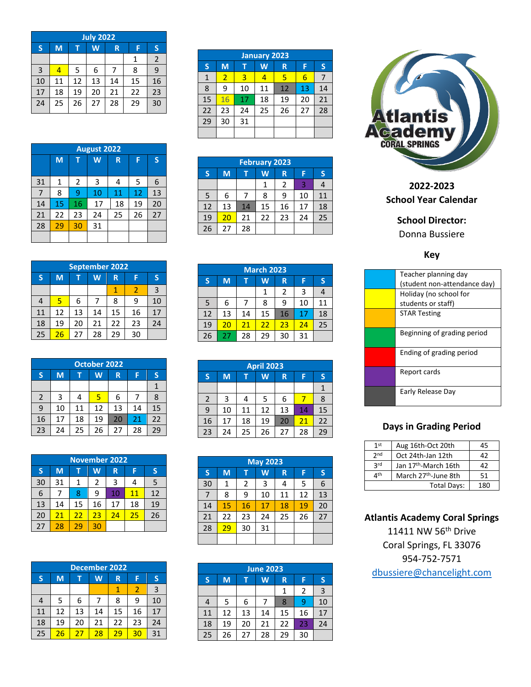| <b>July 2022</b> |                       |    |    |    |    |                |  |
|------------------|-----------------------|----|----|----|----|----------------|--|
| ${\sf S}$        | M<br>W<br>F<br>т<br>R |    |    |    |    | S              |  |
|                  |                       |    |    |    | 1  | $\overline{2}$ |  |
| 3                | 4                     | 5  | 6  |    | 8  | 9              |  |
| 10               | 11                    | 12 | 13 | 14 | 15 | 16             |  |
| 17               | 18                    | 19 | 20 | 21 | 22 | 23             |  |
| 24               | 25                    | 26 | 27 | 28 | 29 | 30             |  |

| <b>August 2022</b> |    |    |    |    |    |    |  |  |
|--------------------|----|----|----|----|----|----|--|--|
|                    | M  | т  | W  | R  | F  | S  |  |  |
| 31                 | 1  | 2  | 3  | 4  | 5  | 6  |  |  |
| 7                  | 8  | 9  | 10 | 11 | 12 | 13 |  |  |
|                    |    |    |    |    |    |    |  |  |
| 14                 | 15 | 16 | 17 | 18 | 19 | 20 |  |  |
| 21                 | 22 | 23 | 24 | 25 | 26 | 27 |  |  |
| 28                 | 29 | 30 | 31 |    |    |    |  |  |
|                    |    |    |    |    |    |    |  |  |

|    | <b>September 2022</b> |    |    |    |    |    |  |  |  |
|----|-----------------------|----|----|----|----|----|--|--|--|
| S  | M<br>W<br>R<br>S<br>F |    |    |    |    |    |  |  |  |
|    |                       |    |    |    | 2  | 3  |  |  |  |
| 4  | 5                     | 6  |    | 8  | 9  | 10 |  |  |  |
| 11 | 12                    | 13 | 14 | 15 | 16 | 17 |  |  |  |
| 18 | 19                    | 20 | 21 | 22 | 23 | 24 |  |  |  |
| 25 | 26                    | 27 | 28 | 29 | 30 |    |  |  |  |

| <b>October 2022</b> |    |    |    |    |    |    |  |  |
|---------------------|----|----|----|----|----|----|--|--|
| S                   | M  |    | W  | R  | F  | S  |  |  |
|                     |    |    |    |    |    |    |  |  |
| $\overline{2}$      | 3  |    | 5  | 6  |    | 8  |  |  |
| 9                   | 10 | 11 | 12 | 13 | 14 | 15 |  |  |
| 16                  | 17 | 18 | 19 | 20 | 21 | 22 |  |  |
| 23                  | 24 | 25 | 26 | 27 | 28 | 29 |  |  |

|    | <b>November 2022</b> |    |    |    |    |    |  |  |  |
|----|----------------------|----|----|----|----|----|--|--|--|
| S  | M                    |    | W  | R  | F  | S  |  |  |  |
| 30 | 31                   | 1  | 2  | 3  | 4  | 5  |  |  |  |
| 6  |                      | 8  | 9  | 10 | 11 | 12 |  |  |  |
| 13 | 14                   | 15 | 16 | 17 | 18 | 19 |  |  |  |
| 20 | 21                   | 22 | 23 | 24 | 25 | 26 |  |  |  |
| 27 | 28                   | 29 | 30 |    |    |    |  |  |  |

|    | <b>December 2022</b> |    |    |    |    |              |  |  |  |
|----|----------------------|----|----|----|----|--------------|--|--|--|
| S  | M                    |    | W  | R  | F  | S            |  |  |  |
|    |                      |    |    |    | 2  | $\mathbf{3}$ |  |  |  |
| 4  | 5                    | 6  |    | 8  | 9  | 10           |  |  |  |
| 11 | 12                   | 13 | 14 | 15 | 16 | 17           |  |  |  |
| 18 | 19                   | 20 | 21 | 22 | 23 | 24           |  |  |  |
| 25 | 26                   | 27 | 28 | 29 | 30 | 31           |  |  |  |

|    | <b>January 2023</b> |    |    |    |    |    |  |  |  |
|----|---------------------|----|----|----|----|----|--|--|--|
| S  | M                   | т  | W  | R  | F  | IS |  |  |  |
| 1  | $\overline{2}$      | 3  | 4  | 5  | 6  |    |  |  |  |
| 8  | 9                   | 10 | 11 | 12 | 13 | 14 |  |  |  |
| 15 | 16                  | 17 | 18 | 19 | 20 | 21 |  |  |  |
| 22 | 23                  | 24 | 25 | 26 | 27 | 28 |  |  |  |
| 29 | 30                  | 31 |    |    |    |    |  |  |  |
|    |                     |    |    |    |    |    |  |  |  |

| <b>February 2023</b> |    |                   |    |                |    |    |  |  |
|----------------------|----|-------------------|----|----------------|----|----|--|--|
| S                    | M  | IS<br>W<br>F<br>R |    |                |    |    |  |  |
|                      |    |                   |    | $\overline{2}$ | 3  | 4  |  |  |
| 5                    | 6  |                   | 8  | 9              | 10 | 11 |  |  |
| 12                   | 13 | 14                | 15 | 16             | 17 | 18 |  |  |
| 19                   | 20 | 21                | 22 | 23             | 24 | 25 |  |  |
| 26                   | 27 | 28                |    |                |    |    |  |  |

| <b>March 2023</b> |    |                  |    |                |    |    |  |  |
|-------------------|----|------------------|----|----------------|----|----|--|--|
| S                 | M  | S<br>W<br>F<br>R |    |                |    |    |  |  |
|                   |    |                  | 1  | $\overline{2}$ | 3  | 4  |  |  |
| 5                 | 6  |                  | 8  | 9              | 10 | 11 |  |  |
| 12                | 13 | 14               | 15 | 16             | 17 | 18 |  |  |
| 19                | 20 | 21               | 22 | 23             | 24 | 25 |  |  |
| 26                | 27 | 28               | 29 | 30             | 31 |    |  |  |

| <b>April 2023</b> |    |    |    |    |    |    |  |
|-------------------|----|----|----|----|----|----|--|
| S                 | M  |    | W  | R  | F  | S  |  |
|                   |    |    |    |    |    |    |  |
| $\overline{2}$    | 3  | 4  | 5  | 6  |    | 8  |  |
| 9                 | 10 | 11 | 12 | 13 | 14 | 15 |  |
| 16                | 17 | 18 | 19 | 20 | 21 | 22 |  |
| 23                | 24 | 25 | 26 | 27 | 28 | 29 |  |

| <b>May 2023</b> |    |    |    |    |    |    |  |
|-----------------|----|----|----|----|----|----|--|
| $\mathsf{S}$    | M  | т  | W  | R  | F  | S  |  |
| 30              | 1  | 2  | 3  | 4  | 5  | 6  |  |
| 7               | 8  | 9  | 10 | 11 | 12 | 13 |  |
| 14              | 15 | 16 | 17 | 18 | 19 | 20 |  |
| 21              | 22 | 23 | 24 | 25 | 26 | 27 |  |
| 28              | 29 | 30 | 31 |    |    |    |  |
|                 |    |    |    |    |    |    |  |

| <b>June 2023</b> |    |    |          |    |                |                |  |
|------------------|----|----|----------|----|----------------|----------------|--|
| S                | M  | т  | <b>W</b> | R  | F              | S              |  |
|                  |    |    |          | 1  | $\overline{2}$ | $\overline{3}$ |  |
|                  | 5  | 6  |          | 8  | 9              | 10             |  |
| 11               | 12 | 13 | 14       | 15 | 16             | 17             |  |
| 18               | 19 | 20 | 21       | 22 | 23             | 24             |  |
| 25               | 26 | 27 | 28       | 29 | 30             |                |  |



**202 2 -202 3 School Year Calendar**

**School Director:**

Donna Bussiere

**Key**

| Teacher planning day         |
|------------------------------|
| (student non-attendance day) |
| Holiday (no school for       |
| students or staff)           |
| <b>STAR Testing</b>          |
|                              |
| Beginning of grading period  |
|                              |
| Ending of grading period     |
|                              |
| Report cards                 |
|                              |
| Early Release Day            |
|                              |

## **Days in Grading Period**

| 1 <sup>st</sup>                | Aug 16th-Oct 20th                | 45  |
|--------------------------------|----------------------------------|-----|
| 2 <sub>nd</sub>                | Oct 24th-Jan 12th                | 42  |
| 2rd                            | Jan 17 <sup>th</sup> -March 16th | 42  |
| $\mathbf{\Lambda}^{\text{th}}$ | March 27 <sup>th</sup> -June 8th | 51  |
|                                | Total Days:                      | 180 |

**Atlantis Academy Coral Springs**

11411 NW 56th Drive Coral Springs, FL 33076 954 -752 -7571 [dbussiere@chancelight.com](mailto:dbussiere@chancelight.com)